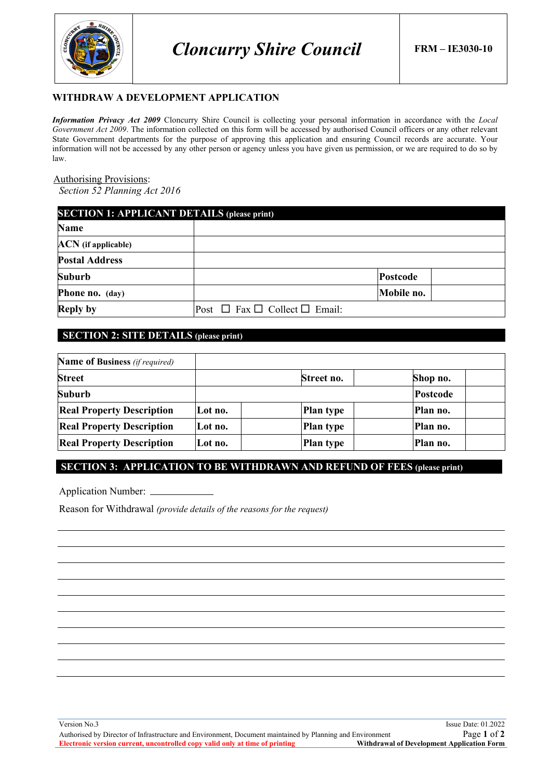

### **WITHDRAW A DEVELOPMENT APPLICATION**

*Information Privacy Act 2009* Cloncurry Shire Council is collecting your personal information in accordance with the *Local Government Act 2009*. The information collected on this form will be accessed by authorised Council officers or any other relevant State Government departments for the purpose of approving this application and ensuring Council records are accurate. Your information will not be accessed by any other person or agency unless you have given us permission, or we are required to do so by law.

#### Authorising Provisions:

*Section 52 Planning Act 2016*

| <b>SECTION 1: APPLICANT DETAILS (please print)</b> |                                              |            |  |  |
|----------------------------------------------------|----------------------------------------------|------------|--|--|
| <b>Name</b>                                        |                                              |            |  |  |
| <b>ACN</b> (if applicable)                         |                                              |            |  |  |
| <b>Postal Address</b>                              |                                              |            |  |  |
| <b>Suburb</b>                                      |                                              | Postcode   |  |  |
| Phone no. (day)                                    |                                              | Mobile no. |  |  |
| <b>Reply by</b>                                    | Post $\Box$ Fax $\Box$ Collect $\Box$ Email: |            |  |  |

# **SECTION 2: SITE DETAILS (please print)**

| <b>Name of Business</b> (if required) |         |            |                 |
|---------------------------------------|---------|------------|-----------------|
| <b>Street</b>                         |         | Street no. | Shop no.        |
| <b>Suburb</b>                         |         |            | <b>Postcode</b> |
| <b>Real Property Description</b>      | Lot no. | Plan type  | Plan no.        |
| <b>Real Property Description</b>      | Lot no. | Plan type  | Plan no.        |
| <b>Real Property Description</b>      | Lot no. | Plan type  | Plan no.        |

# **SECTION 3: APPLICATION TO BE WITHDRAWN AND REFUND OF FEES (please print)**

Application Number:

Reason for Withdrawal *(provide details of the reasons for the request)*